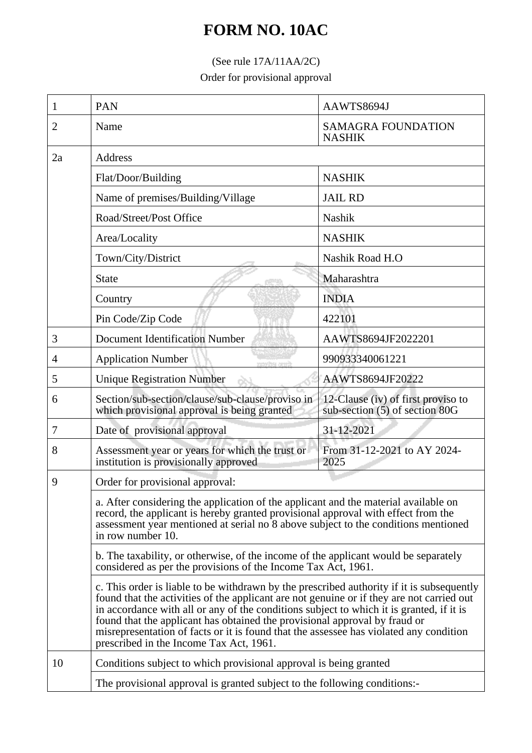## **FORM NO. 10AC**

## (See rule 17A/11AA/2C)

Order for provisional approval

| 1              | <b>PAN</b>                                                                                                                                                                                                                                                                                                                                                                                                                                                                                            | AAWTS8694J                                                           |  |
|----------------|-------------------------------------------------------------------------------------------------------------------------------------------------------------------------------------------------------------------------------------------------------------------------------------------------------------------------------------------------------------------------------------------------------------------------------------------------------------------------------------------------------|----------------------------------------------------------------------|--|
| $\overline{2}$ | Name                                                                                                                                                                                                                                                                                                                                                                                                                                                                                                  | <b>SAMAGRA FOUNDATION</b><br><b>NASHIK</b>                           |  |
| 2a             | Address                                                                                                                                                                                                                                                                                                                                                                                                                                                                                               |                                                                      |  |
|                | Flat/Door/Building                                                                                                                                                                                                                                                                                                                                                                                                                                                                                    | <b>NASHIK</b>                                                        |  |
|                | Name of premises/Building/Village                                                                                                                                                                                                                                                                                                                                                                                                                                                                     | <b>JAIL RD</b>                                                       |  |
|                | Road/Street/Post Office                                                                                                                                                                                                                                                                                                                                                                                                                                                                               | Nashik                                                               |  |
|                | Area/Locality                                                                                                                                                                                                                                                                                                                                                                                                                                                                                         | <b>NASHIK</b>                                                        |  |
|                | Town/City/District                                                                                                                                                                                                                                                                                                                                                                                                                                                                                    | Nashik Road H.O                                                      |  |
|                | <b>State</b>                                                                                                                                                                                                                                                                                                                                                                                                                                                                                          | Maharashtra                                                          |  |
|                | Country                                                                                                                                                                                                                                                                                                                                                                                                                                                                                               | <b>INDIA</b>                                                         |  |
|                | Pin Code/Zip Code                                                                                                                                                                                                                                                                                                                                                                                                                                                                                     | 422101                                                               |  |
| 3              | <b>Document Identification Number</b>                                                                                                                                                                                                                                                                                                                                                                                                                                                                 | AAWTS8694JF2022201                                                   |  |
| 4              | <b>Application Number</b>                                                                                                                                                                                                                                                                                                                                                                                                                                                                             | 990933340061221                                                      |  |
| 5              | <b>Unique Registration Number</b>                                                                                                                                                                                                                                                                                                                                                                                                                                                                     | AAWTS8694JF20222                                                     |  |
| 6              | Section/sub-section/clause/sub-clause/proviso in<br>which provisional approval is being granted                                                                                                                                                                                                                                                                                                                                                                                                       | 12-Clause (iv) of first proviso to<br>sub-section (5) of section 80G |  |
| 7              | Date of provisional approval                                                                                                                                                                                                                                                                                                                                                                                                                                                                          | 31-12-2021                                                           |  |
| 8              | Assessment year or years for which the trust or<br>institution is provisionally approved                                                                                                                                                                                                                                                                                                                                                                                                              | From 31-12-2021 to AY 2024-<br>2025                                  |  |
| 9              | Order for provisional approval:                                                                                                                                                                                                                                                                                                                                                                                                                                                                       |                                                                      |  |
|                | a. After considering the application of the applicant and the material available on<br>record, the applicant is hereby granted provisional approval with effect from the<br>assessment year mentioned at serial no 8 above subject to the conditions mentioned<br>in row number 10.                                                                                                                                                                                                                   |                                                                      |  |
|                | b. The taxability, or otherwise, of the income of the applicant would be separately<br>considered as per the provisions of the Income Tax Act, 1961.                                                                                                                                                                                                                                                                                                                                                  |                                                                      |  |
|                | c. This order is liable to be withdrawn by the prescribed authority if it is subsequently<br>found that the activities of the applicant are not genuine or if they are not carried out<br>in accordance with all or any of the conditions subject to which it is granted, if it is<br>found that the applicant has obtained the provisional approval by fraud or<br>misrepresentation of facts or it is found that the assessee has violated any condition<br>prescribed in the Income Tax Act, 1961. |                                                                      |  |
| 10             | Conditions subject to which provisional approval is being granted                                                                                                                                                                                                                                                                                                                                                                                                                                     |                                                                      |  |
|                | The provisional approval is granted subject to the following conditions:-                                                                                                                                                                                                                                                                                                                                                                                                                             |                                                                      |  |